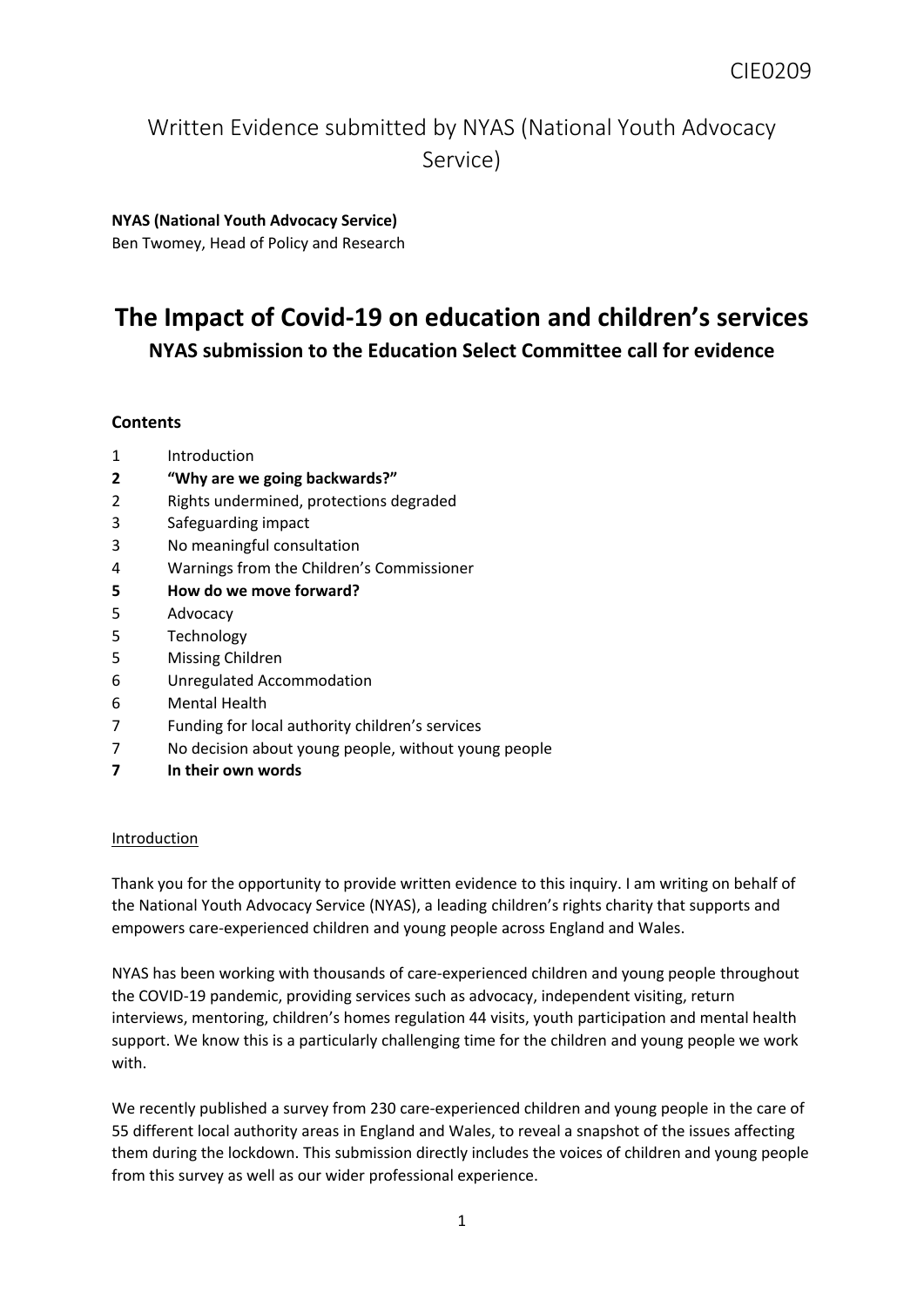# Written Evidence submitted by NYAS (National Youth Advocacy Service)

# **NYAS (National Youth Advocacy Service)**

Ben Twomey, Head of Policy and Research

# **The Impact of Covid-19 on education and children's services NYAS submission to the Education Select Committee call for evidence**

## **Contents**

- 1 Introduction
- **2 "Why are we going backwards?"**
- 2 Rights undermined, protections degraded
- 3 Safeguarding impact
- 3 No meaningful consultation
- 4 Warnings from the Children's Commissioner
- **5 How do we move forward?**
- 5 Advocacy
- 5 Technology
- 5 Missing Children
- 6 Unregulated Accommodation
- 6 Mental Health
- 7 Funding for local authority children's services
- 7 No decision about young people, without young people
- **7 In their own words**

### Introduction

Thank you for the opportunity to provide written evidence to this inquiry. I am writing on behalf of the National Youth Advocacy Service (NYAS), a leading children's rights charity that supports and empowers care-experienced children and young people across England and Wales.

NYAS has been working with thousands of care-experienced children and young people throughout the COVID-19 pandemic, providing services such as advocacy, independent visiting, return interviews, mentoring, children's homes regulation 44 visits, youth participation and mental health support. We know this is a particularly challenging time for the children and young people we work with.

We recently published a survey from 230 care-experienced children and young people in the care of 55 different local authority areas in England and Wales, to reveal a snapshot of the issues affecting them during the lockdown. This submission directly includes the voices of children and young people from this survey as well as our wider professional experience.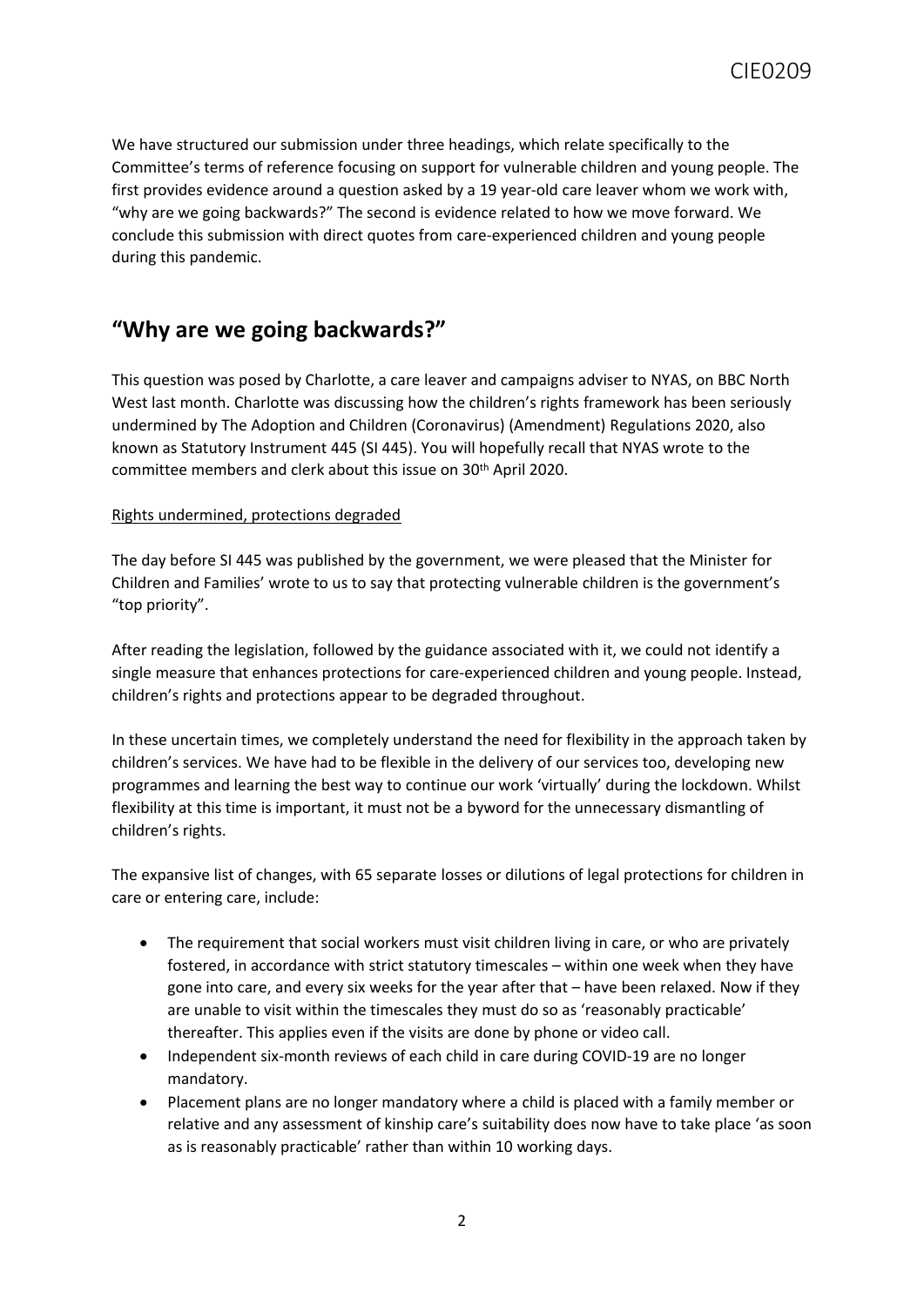We have structured our submission under three headings, which relate specifically to the Committee's terms of reference focusing on support for vulnerable children and young people. The first provides evidence around a question asked by a 19 year-old care leaver whom we work with, "why are we going backwards?" The second is evidence related to how we move forward. We conclude this submission with direct quotes from care-experienced children and young people during this pandemic.

# **"Why are we going backwards?"**

This question was posed by Charlotte, a care leaver and campaigns adviser to NYAS, on BBC North West last month. Charlotte was discussing how the children's rights framework has been seriously undermined by The Adoption and Children (Coronavirus) (Amendment) Regulations 2020, also known as Statutory Instrument 445 (SI 445). You will hopefully recall that NYAS wrote to the committee members and clerk about this issue on 30th April 2020.

## Rights undermined, protections degraded

The day before SI 445 was published by the government, we were pleased that the Minister for Children and Families' wrote to us to say that protecting vulnerable children is the government's "top priority".

After reading the legislation, followed by the guidance associated with it, we could not identify a single measure that enhances protections for care-experienced children and young people. Instead, children's rights and protections appear to be degraded throughout.

In these uncertain times, we completely understand the need for flexibility in the approach taken by children's services. We have had to be flexible in the delivery of our services too, developing new programmes and learning the best way to continue our work 'virtually' during the lockdown. Whilst flexibility at this time is important, it must not be a byword for the unnecessary dismantling of children's rights.

The expansive list of changes, with 65 separate losses or dilutions of legal protections for children in care or entering care, include:

- The requirement that social workers must visit children living in care, or who are privately fostered, in accordance with strict statutory timescales – within one week when they have gone into care, and every six weeks for the year after that – have been relaxed. Now if they are unable to visit within the timescales they must do so as 'reasonably practicable' thereafter. This applies even if the visits are done by phone or video call.
- Independent six-month reviews of each child in care during COVID-19 are no longer mandatory.
- Placement plans are no longer mandatory where a child is placed with a family member or relative and any assessment of kinship care's suitability does now have to take place 'as soon as is reasonably practicable' rather than within 10 working days.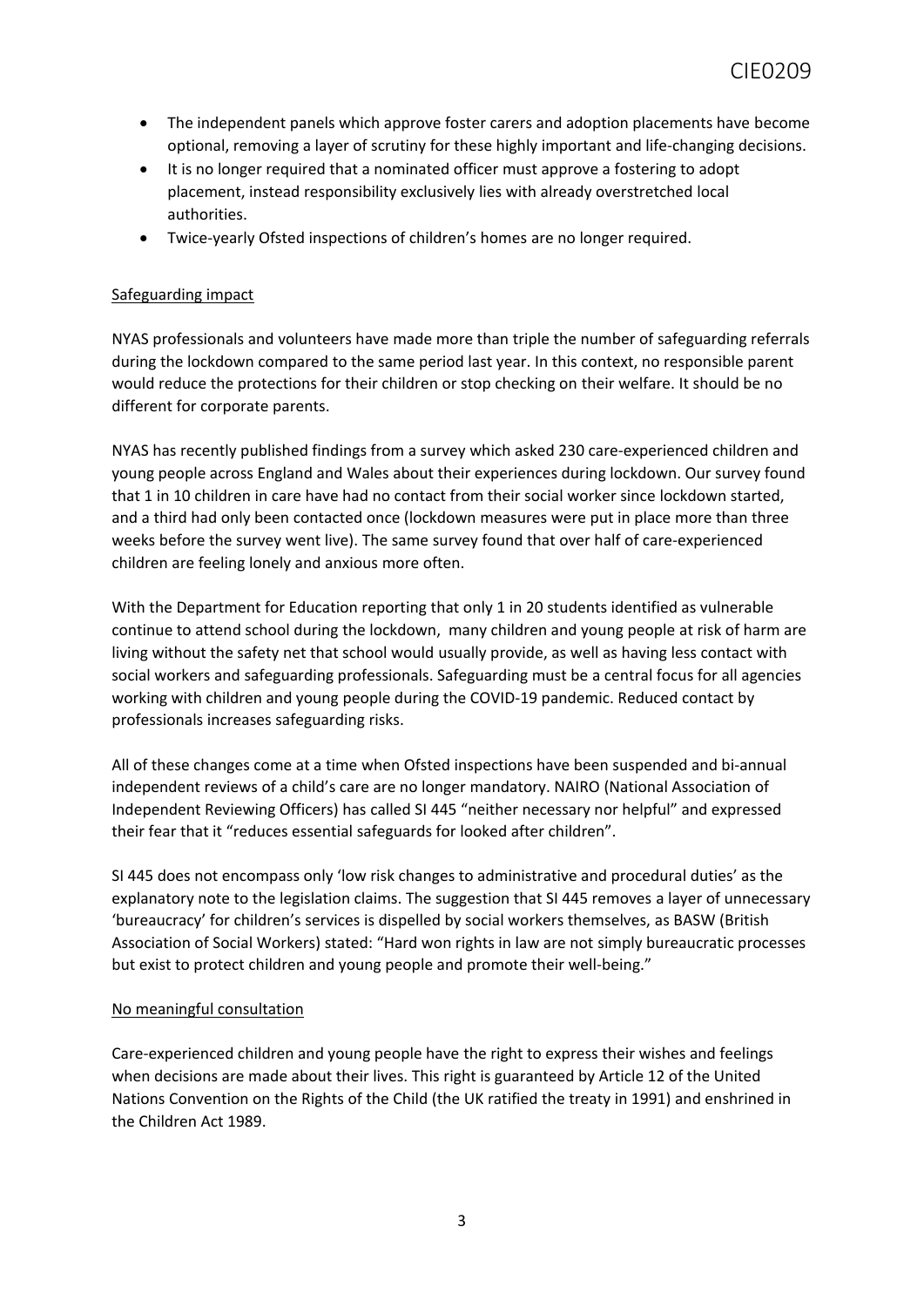- The independent panels which approve foster carers and adoption placements have become optional, removing a layer of scrutiny for these highly important and life-changing decisions.
- It is no longer required that a nominated officer must approve a fostering to adopt placement, instead responsibility exclusively lies with already overstretched local authorities.
- Twice-yearly Ofsted inspections of children's homes are no longer required.

### Safeguarding impact

NYAS professionals and volunteers have made more than triple the number of safeguarding referrals during the lockdown compared to the same period last year. In this context, no responsible parent would reduce the protections for their children or stop checking on their welfare. It should be no different for corporate parents.

NYAS has recently published findings from a survey which asked 230 care-experienced children and young people across England and Wales about their experiences during lockdown. Our survey found that 1 in 10 children in care have had no contact from their social worker since lockdown started, and a third had only been contacted once (lockdown measures were put in place more than three weeks before the survey went live). The same survey found that over half of care-experienced children are feeling lonely and anxious more often.

With the Department for Education reporting that only 1 in 20 students identified as vulnerable continue to attend school during the lockdown, many children and young people at risk of harm are living without the safety net that school would usually provide, as well as having less contact with social workers and safeguarding professionals. Safeguarding must be a central focus for all agencies working with children and young people during the COVID-19 pandemic. Reduced contact by professionals increases safeguarding risks.

All of these changes come at a time when Ofsted inspections have been suspended and bi-annual independent reviews of a child's care are no longer mandatory. NAIRO (National Association of Independent Reviewing Officers) has called SI 445 "neither necessary nor helpful" and expressed their fear that it "reduces essential safeguards for looked after children".

SI 445 does not encompass only 'low risk changes to administrative and procedural duties' as the explanatory note to the legislation claims. The suggestion that SI 445 removes a layer of unnecessary 'bureaucracy' for children's services is dispelled by social workers themselves, as BASW (British Association of Social Workers) stated: "Hard won rights in law are not simply bureaucratic processes but exist to protect children and young people and promote their well-being."

### No meaningful consultation

Care-experienced children and young people have the right to express their wishes and feelings when decisions are made about their lives. This right is guaranteed by Article 12 of the United Nations Convention on the Rights of the Child (the UK ratified the treaty in 1991) and enshrined in the Children Act 1989.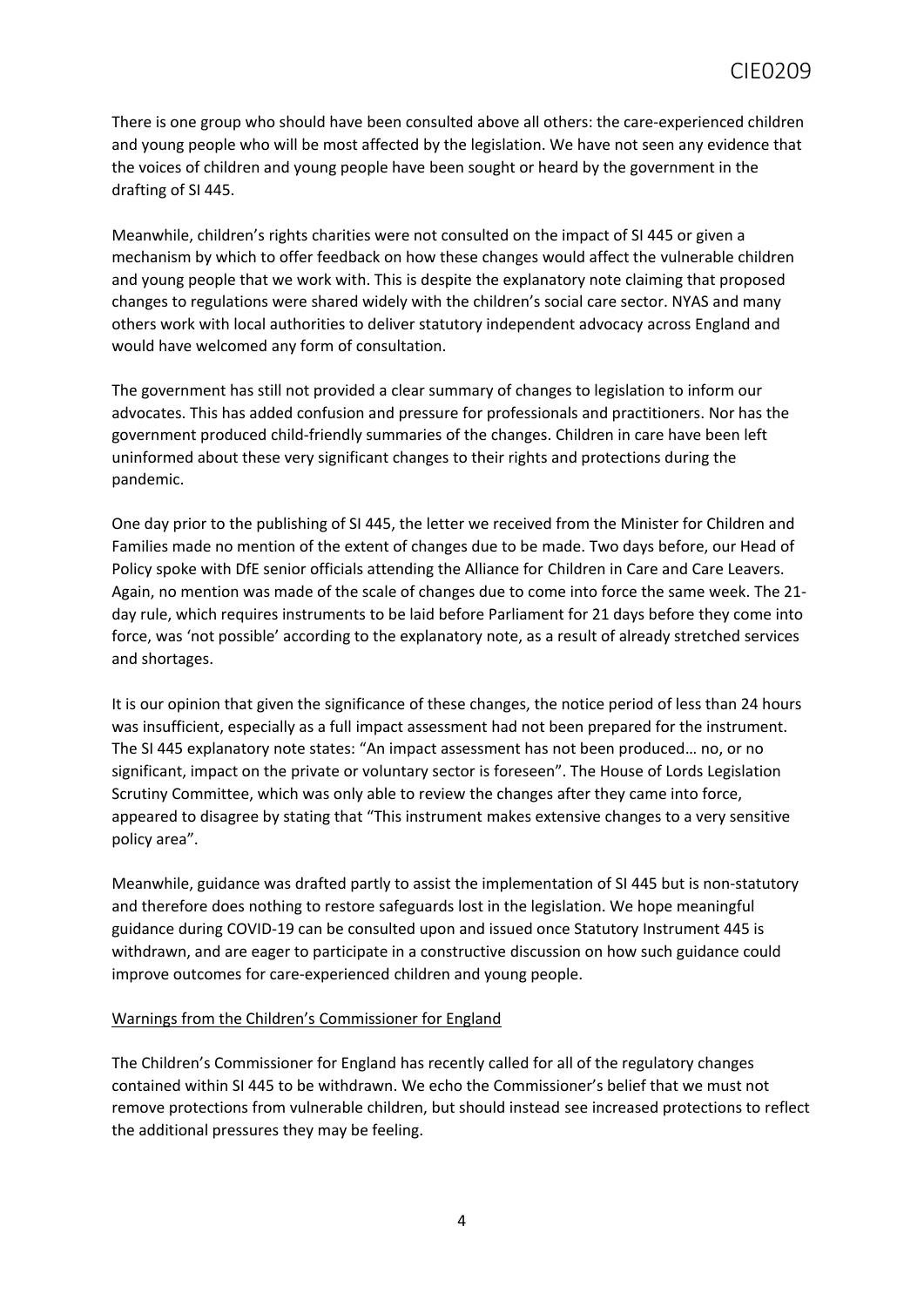There is one group who should have been consulted above all others: the care-experienced children and young people who will be most affected by the legislation. We have not seen any evidence that the voices of children and young people have been sought or heard by the government in the drafting of SI 445.

Meanwhile, children's rights charities were not consulted on the impact of SI 445 or given a mechanism by which to offer feedback on how these changes would affect the vulnerable children and young people that we work with. This is despite the explanatory note claiming that proposed changes to regulations were shared widely with the children's social care sector. NYAS and many others work with local authorities to deliver statutory independent advocacy across England and would have welcomed any form of consultation.

The government has still not provided a clear summary of changes to legislation to inform our advocates. This has added confusion and pressure for professionals and practitioners. Nor has the government produced child-friendly summaries of the changes. Children in care have been left uninformed about these very significant changes to their rights and protections during the pandemic.

One day prior to the publishing of SI 445, the letter we received from the Minister for Children and Families made no mention of the extent of changes due to be made. Two days before, our Head of Policy spoke with DfE senior officials attending the Alliance for Children in Care and Care Leavers. Again, no mention was made of the scale of changes due to come into force the same week. The 21 day rule, which requires instruments to be laid before Parliament for 21 days before they come into force, was 'not possible' according to the explanatory note, as a result of already stretched services and shortages.

It is our opinion that given the significance of these changes, the notice period of less than 24 hours was insufficient, especially as a full impact assessment had not been prepared for the instrument. The SI 445 explanatory note states: "An impact assessment has not been produced… no, or no significant, impact on the private or voluntary sector is foreseen". The House of Lords Legislation Scrutiny Committee, which was only able to review the changes after they came into force, appeared to disagree by stating that "This instrument makes extensive changes to a very sensitive policy area".

Meanwhile, guidance was drafted partly to assist the implementation of SI 445 but is non-statutory and therefore does nothing to restore safeguards lost in the legislation. We hope meaningful guidance during COVID-19 can be consulted upon and issued once Statutory Instrument 445 is withdrawn, and are eager to participate in a constructive discussion on how such guidance could improve outcomes for care-experienced children and young people.

### Warnings from the Children's Commissioner for England

The Children's Commissioner for England has recently called for all of the regulatory changes contained within SI 445 to be withdrawn. We echo the Commissioner's belief that we must not remove protections from vulnerable children, but should instead see increased protections to reflect the additional pressures they may be feeling.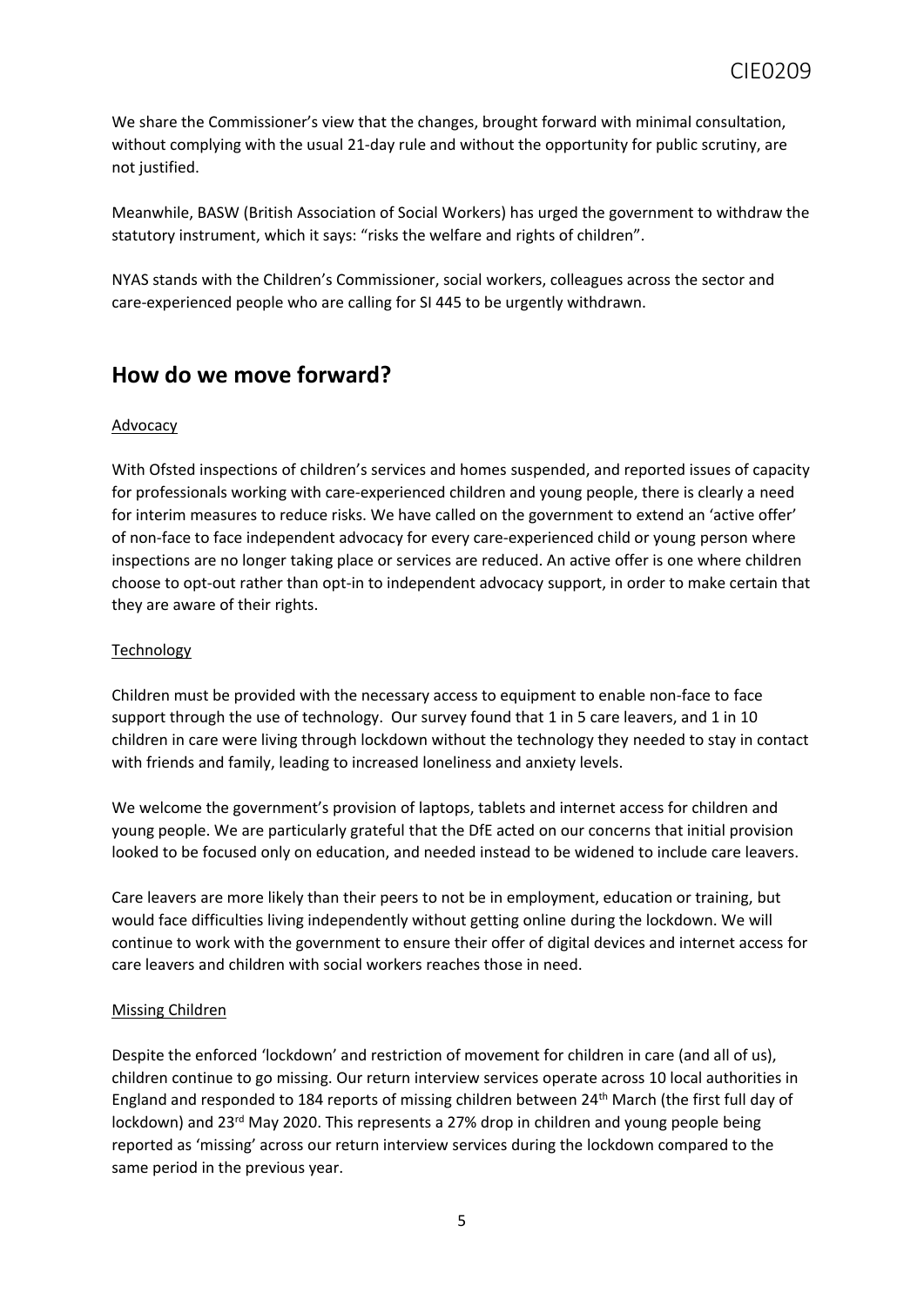We share the Commissioner's view that the changes, brought forward with minimal consultation, without complying with the usual 21-day rule and without the opportunity for public scrutiny, are not justified.

Meanwhile, BASW (British Association of Social Workers) has urged the government to withdraw the statutory instrument, which it says: "risks the welfare and rights of children".

NYAS stands with the Children's Commissioner, social workers, colleagues across the sector and care-experienced people who are calling for SI 445 to be urgently withdrawn.

# **How do we move forward?**

### Advocacy

With Ofsted inspections of children's services and homes suspended, and reported issues of capacity for professionals working with care-experienced children and young people, there is clearly a need for interim measures to reduce risks. We have called on the government to extend an 'active offer' of non-face to face independent advocacy for every care-experienced child or young person where inspections are no longer taking place or services are reduced. An active offer is one where children choose to opt-out rather than opt-in to independent advocacy support, in order to make certain that they are aware of their rights.

### Technology

Children must be provided with the necessary access to equipment to enable non-face to face support through the use of technology. Our survey found that 1 in 5 care leavers, and 1 in 10 children in care were living through lockdown without the technology they needed to stay in contact with friends and family, leading to increased loneliness and anxiety levels.

We welcome the government's provision of laptops, tablets and internet access for children and young people. We are particularly grateful that the DfE acted on our concerns that initial provision looked to be focused only on education, and needed instead to be widened to include care leavers.

Care leavers are more likely than their peers to not be in employment, education or training, but would face difficulties living independently without getting online during the lockdown. We will continue to work with the government to ensure their offer of digital devices and internet access for care leavers and children with social workers reaches those in need.

### Missing Children

Despite the enforced 'lockdown' and restriction of movement for children in care (and all of us), children continue to go missing. Our return interview services operate across 10 local authorities in England and responded to 184 reports of missing children between 24th March (the first full day of lockdown) and 23<sup>rd</sup> May 2020. This represents a 27% drop in children and young people being reported as 'missing' across our return interview services during the lockdown compared to the same period in the previous year.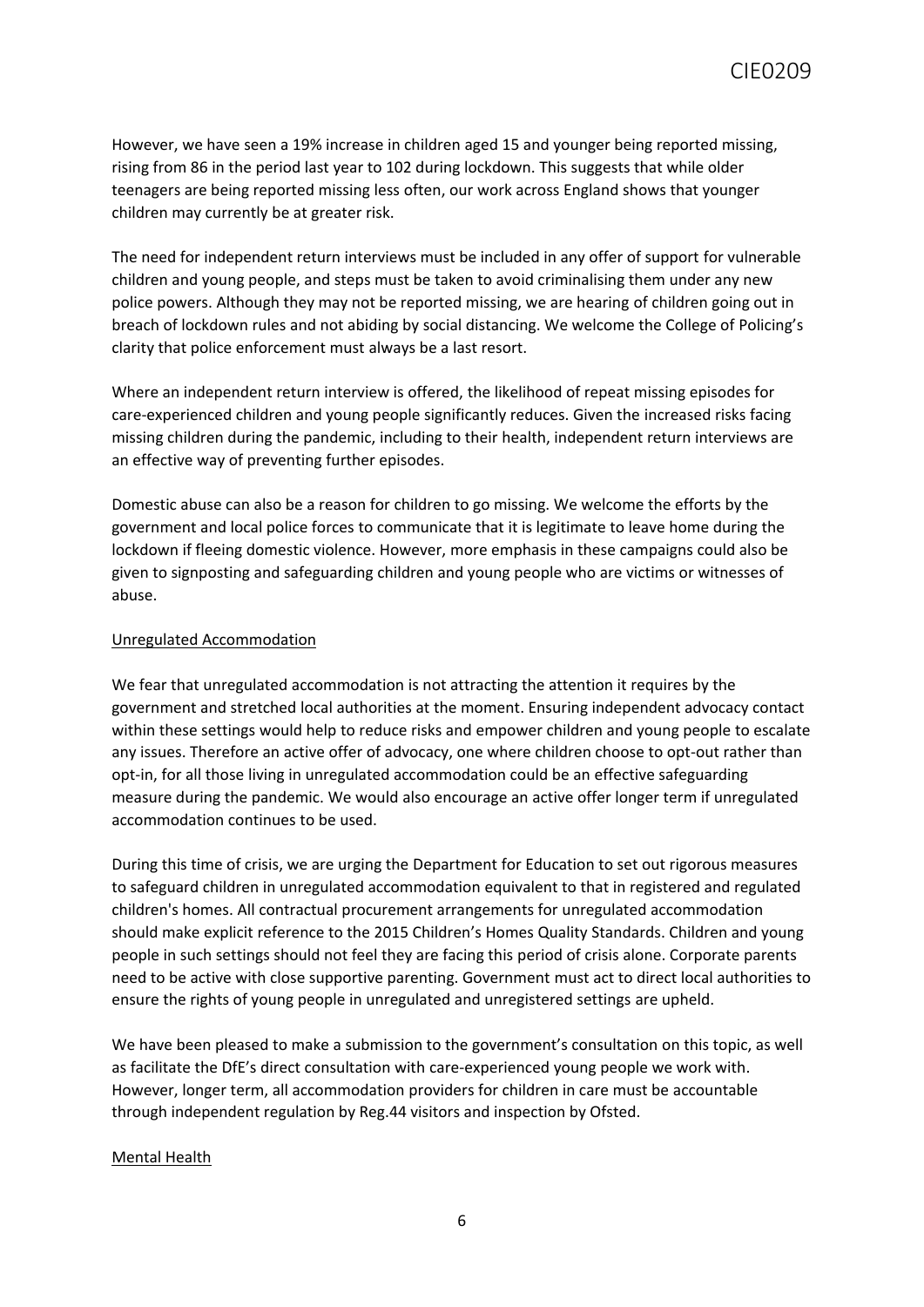However, we have seen a 19% increase in children aged 15 and younger being reported missing, rising from 86 in the period last year to 102 during lockdown. This suggests that while older teenagers are being reported missing less often, our work across England shows that younger children may currently be at greater risk.

The need for independent return interviews must be included in any offer of support for vulnerable children and young people, and steps must be taken to avoid criminalising them under any new police powers. Although they may not be reported missing, we are hearing of children going out in breach of lockdown rules and not abiding by social distancing. We welcome the College of Policing's clarity that police enforcement must always be a last resort.

Where an independent return interview is offered, the likelihood of repeat missing episodes for care-experienced children and young people significantly reduces. Given the increased risks facing missing children during the pandemic, including to their health, independent return interviews are an effective way of preventing further episodes.

Domestic abuse can also be a reason for children to go missing. We welcome the efforts by the government and local police forces to communicate that it is legitimate to leave home during the lockdown if fleeing domestic violence. However, more emphasis in these campaigns could also be given to signposting and safeguarding children and young people who are victims or witnesses of abuse.

### Unregulated Accommodation

We fear that unregulated accommodation is not attracting the attention it requires by the government and stretched local authorities at the moment. Ensuring independent advocacy contact within these settings would help to reduce risks and empower children and young people to escalate any issues. Therefore an active offer of advocacy, one where children choose to opt-out rather than opt-in, for all those living in unregulated accommodation could be an effective safeguarding measure during the pandemic. We would also encourage an active offer longer term if unregulated accommodation continues to be used.

During this time of crisis, we are urging the Department for Education to set out rigorous measures to safeguard children in unregulated accommodation equivalent to that in registered and regulated children's homes. All contractual procurement arrangements for unregulated accommodation should make explicit reference to the 2015 Children's Homes Quality Standards. Children and young people in such settings should not feel they are facing this period of crisis alone. Corporate parents need to be active with close supportive parenting. Government must act to direct local authorities to ensure the rights of young people in unregulated and unregistered settings are upheld.

We have been pleased to make a submission to the government's consultation on this topic, as well as facilitate the DfE's direct consultation with care-experienced young people we work with. However, longer term, all accommodation providers for children in care must be accountable through independent regulation by Reg.44 visitors and inspection by Ofsted.

#### Mental Health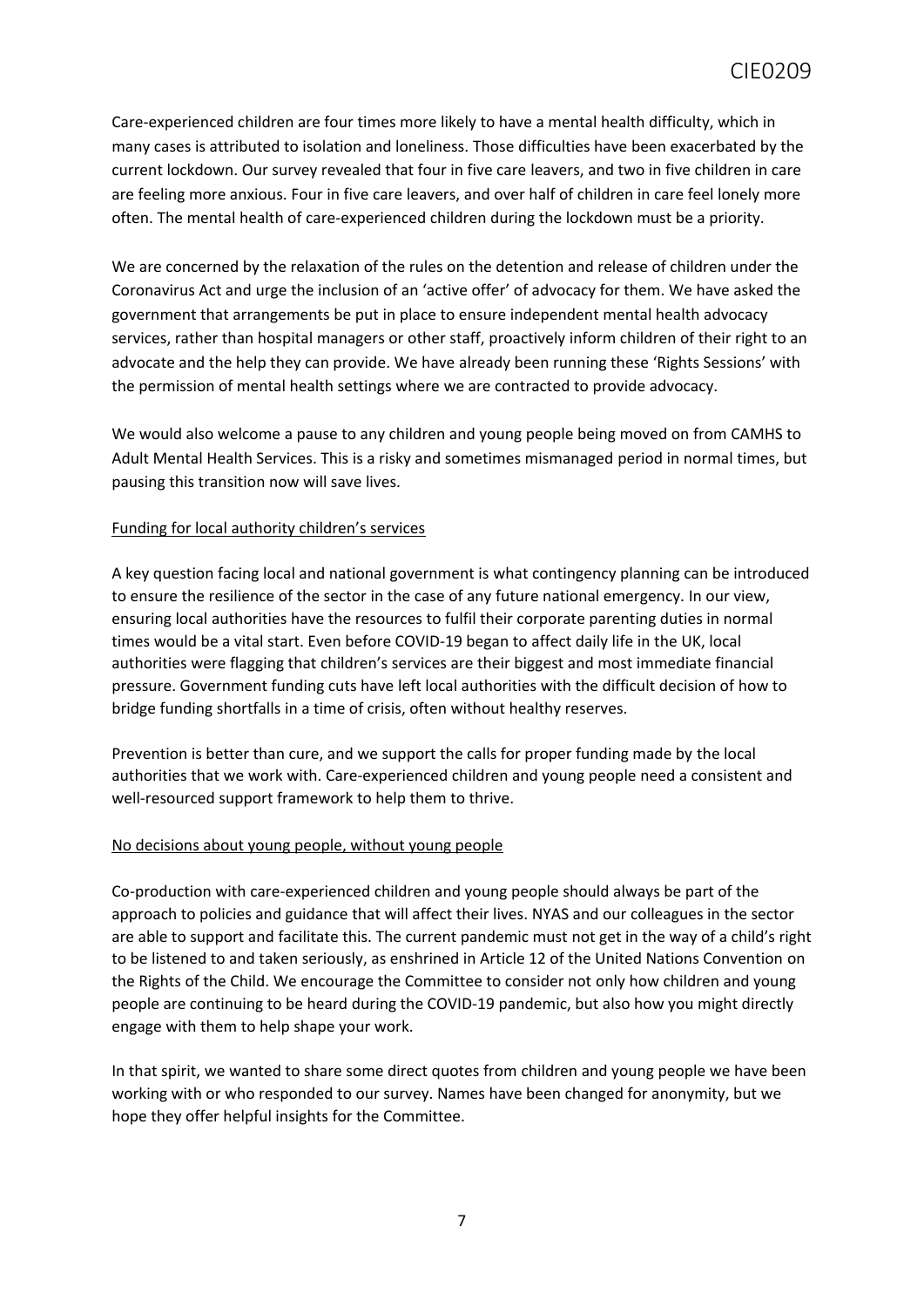Care-experienced children are four times more likely to have a mental health difficulty, which in many cases is attributed to isolation and loneliness. Those difficulties have been exacerbated by the current lockdown. Our survey revealed that four in five care leavers, and two in five children in care are feeling more anxious. Four in five care leavers, and over half of children in care feel lonely more often. The mental health of care-experienced children during the lockdown must be a priority.

We are concerned by the relaxation of the rules on the detention and release of children under the Coronavirus Act and urge the inclusion of an 'active offer' of advocacy for them. We have asked the government that arrangements be put in place to ensure independent mental health advocacy services, rather than hospital managers or other staff, proactively inform children of their right to an advocate and the help they can provide. We have already been running these 'Rights Sessions' with the permission of mental health settings where we are contracted to provide advocacy.

We would also welcome a pause to any children and young people being moved on from CAMHS to Adult Mental Health Services. This is a risky and sometimes mismanaged period in normal times, but pausing this transition now will save lives.

### Funding for local authority children's services

A key question facing local and national government is what contingency planning can be introduced to ensure the resilience of the sector in the case of any future national emergency. In our view, ensuring local authorities have the resources to fulfil their corporate parenting duties in normal times would be a vital start. Even before COVID-19 began to affect daily life in the UK, local authorities were flagging that children's services are their biggest and most immediate financial pressure. Government funding cuts have left local authorities with the difficult decision of how to bridge funding shortfalls in a time of crisis, often without healthy reserves.

Prevention is better than cure, and we support the calls for proper funding made by the local authorities that we work with. Care-experienced children and young people need a consistent and well-resourced support framework to help them to thrive.

### No decisions about young people, without young people

Co-production with care-experienced children and young people should always be part of the approach to policies and guidance that will affect their lives. NYAS and our colleagues in the sector are able to support and facilitate this. The current pandemic must not get in the way of a child's right to be listened to and taken seriously, as enshrined in Article 12 of the United Nations Convention on the Rights of the Child. We encourage the Committee to consider not only how children and young people are continuing to be heard during the COVID-19 pandemic, but also how you might directly engage with them to help shape your work.

In that spirit, we wanted to share some direct quotes from children and young people we have been working with or who responded to our survey. Names have been changed for anonymity, but we hope they offer helpful insights for the Committee.